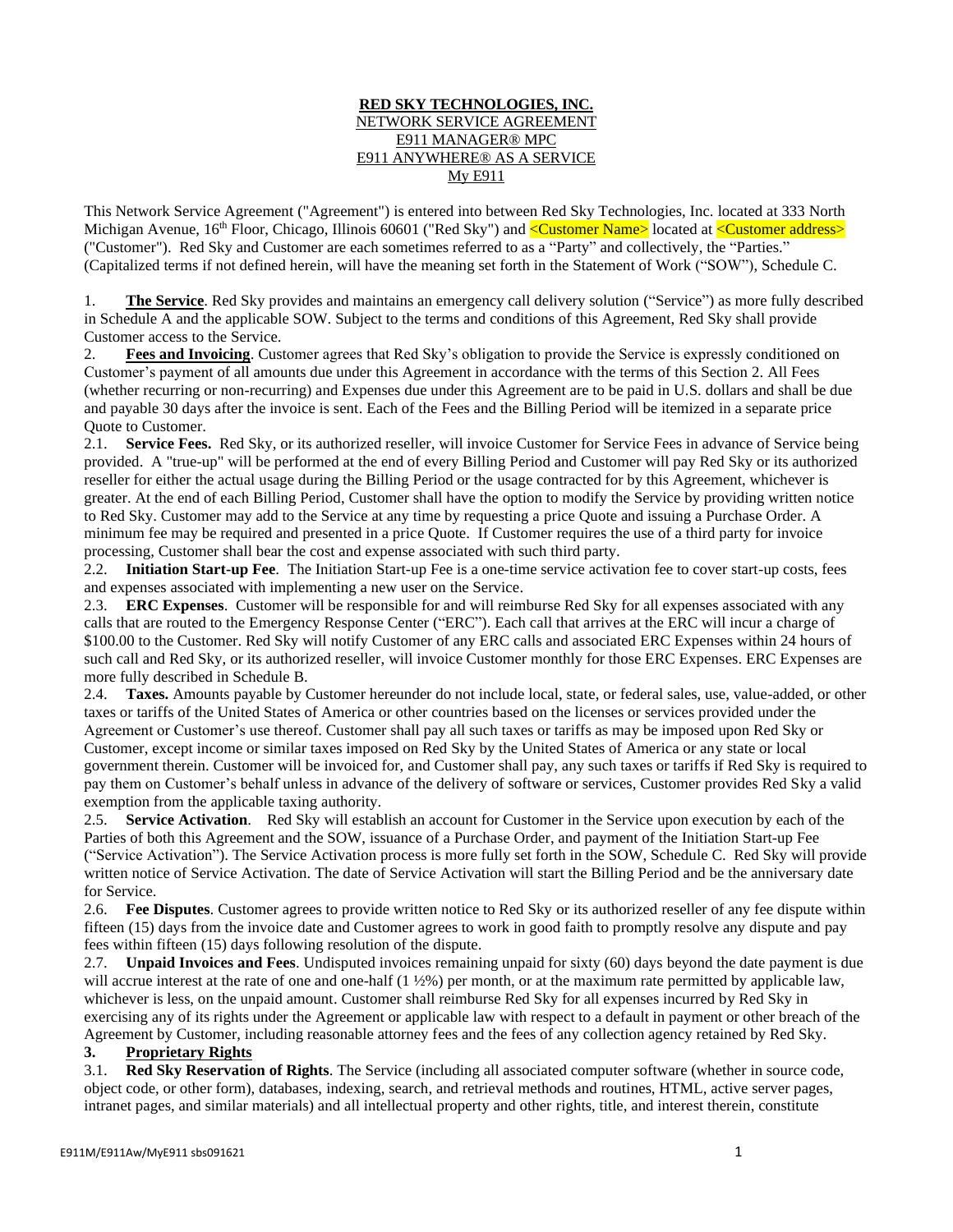### **RED SKY TECHNOLOGIES, INC.** NETWORK SERVICE AGREEMENT E911 MANAGER® MPC E911 ANYWHERE® AS A SERVICE My E911

This Network Service Agreement ("Agreement") is entered into between Red Sky Technologies, Inc. located at 333 North Michigan Avenue, 16<sup>th</sup> Floor, Chicago, Illinois 60601 ("Red Sky") and <mark><Customer Name></mark> located at <Customer address> ("Customer"). Red Sky and Customer are each sometimes referred to as a "Party" and collectively, the "Parties." (Capitalized terms if not defined herein, will have the meaning set forth in the Statement of Work ("SOW"), Schedule C.

1. **The Service**. Red Sky provides and maintains an emergency call delivery solution ("Service") as more fully described in Schedule A and the applicable SOW. Subject to the terms and conditions of this Agreement, Red Sky shall provide Customer access to the Service.

2. **Fees and Invoicing**. Customer agrees that Red Sky's obligation to provide the Service is expressly conditioned on Customer's payment of all amounts due under this Agreement in accordance with the terms of this Section 2. All Fees (whether recurring or non-recurring) and Expenses due under this Agreement are to be paid in U.S. dollars and shall be due and payable 30 days after the invoice is sent. Each of the Fees and the Billing Period will be itemized in a separate price Quote to Customer.

2.1. **Service Fees.** Red Sky, or its authorized reseller, will invoice Customer for Service Fees in advance of Service being provided. A "true-up" will be performed at the end of every Billing Period and Customer will pay Red Sky or its authorized reseller for either the actual usage during the Billing Period or the usage contracted for by this Agreement, whichever is greater. At the end of each Billing Period, Customer shall have the option to modify the Service by providing written notice to Red Sky. Customer may add to the Service at any time by requesting a price Quote and issuing a Purchase Order. A minimum fee may be required and presented in a price Quote. If Customer requires the use of a third party for invoice processing, Customer shall bear the cost and expense associated with such third party.

2.2. **Initiation Start-up Fee**. The Initiation Start-up Fee is a one-time service activation fee to cover start-up costs, fees and expenses associated with implementing a new user on the Service.

2.3. **ERC Expenses**. Customer will be responsible for and will reimburse Red Sky for all expenses associated with any calls that are routed to the Emergency Response Center ("ERC"). Each call that arrives at the ERC will incur a charge of \$100.00 to the Customer. Red Sky will notify Customer of any ERC calls and associated ERC Expenses within 24 hours of such call and Red Sky, or its authorized reseller, will invoice Customer monthly for those ERC Expenses. ERC Expenses are more fully described in Schedule B.

2.4. **Taxes.** Amounts payable by Customer hereunder do not include local, state, or federal sales, use, value-added, or other taxes or tariffs of the United States of America or other countries based on the licenses or services provided under the Agreement or Customer's use thereof. Customer shall pay all such taxes or tariffs as may be imposed upon Red Sky or Customer, except income or similar taxes imposed on Red Sky by the United States of America or any state or local government therein. Customer will be invoiced for, and Customer shall pay, any such taxes or tariffs if Red Sky is required to pay them on Customer's behalf unless in advance of the delivery of software or services, Customer provides Red Sky a valid exemption from the applicable taxing authority.

2.5. **Service Activation**. Red Sky will establish an account for Customer in the Service upon execution by each of the Parties of both this Agreement and the SOW, issuance of a Purchase Order, and payment of the Initiation Start-up Fee ("Service Activation"). The Service Activation process is more fully set forth in the SOW, Schedule C. Red Sky will provide written notice of Service Activation. The date of Service Activation will start the Billing Period and be the anniversary date for Service.

2.6. **Fee Disputes**. Customer agrees to provide written notice to Red Sky or its authorized reseller of any fee dispute within fifteen (15) days from the invoice date and Customer agrees to work in good faith to promptly resolve any dispute and pay fees within fifteen (15) days following resolution of the dispute.

2.7. **Unpaid Invoices and Fees**. Undisputed invoices remaining unpaid for sixty (60) days beyond the date payment is due will accrue interest at the rate of one and one-half  $(1 \frac{1}{2}\%)$  per month, or at the maximum rate permitted by applicable law, whichever is less, on the unpaid amount. Customer shall reimburse Red Sky for all expenses incurred by Red Sky in exercising any of its rights under the Agreement or applicable law with respect to a default in payment or other breach of the Agreement by Customer, including reasonable attorney fees and the fees of any collection agency retained by Red Sky.

## **3. Proprietary Rights**

3.1. **Red Sky Reservation of Rights**. The Service (including all associated computer software (whether in source code, object code, or other form), databases, indexing, search, and retrieval methods and routines, HTML, active server pages, intranet pages, and similar materials) and all intellectual property and other rights, title, and interest therein, constitute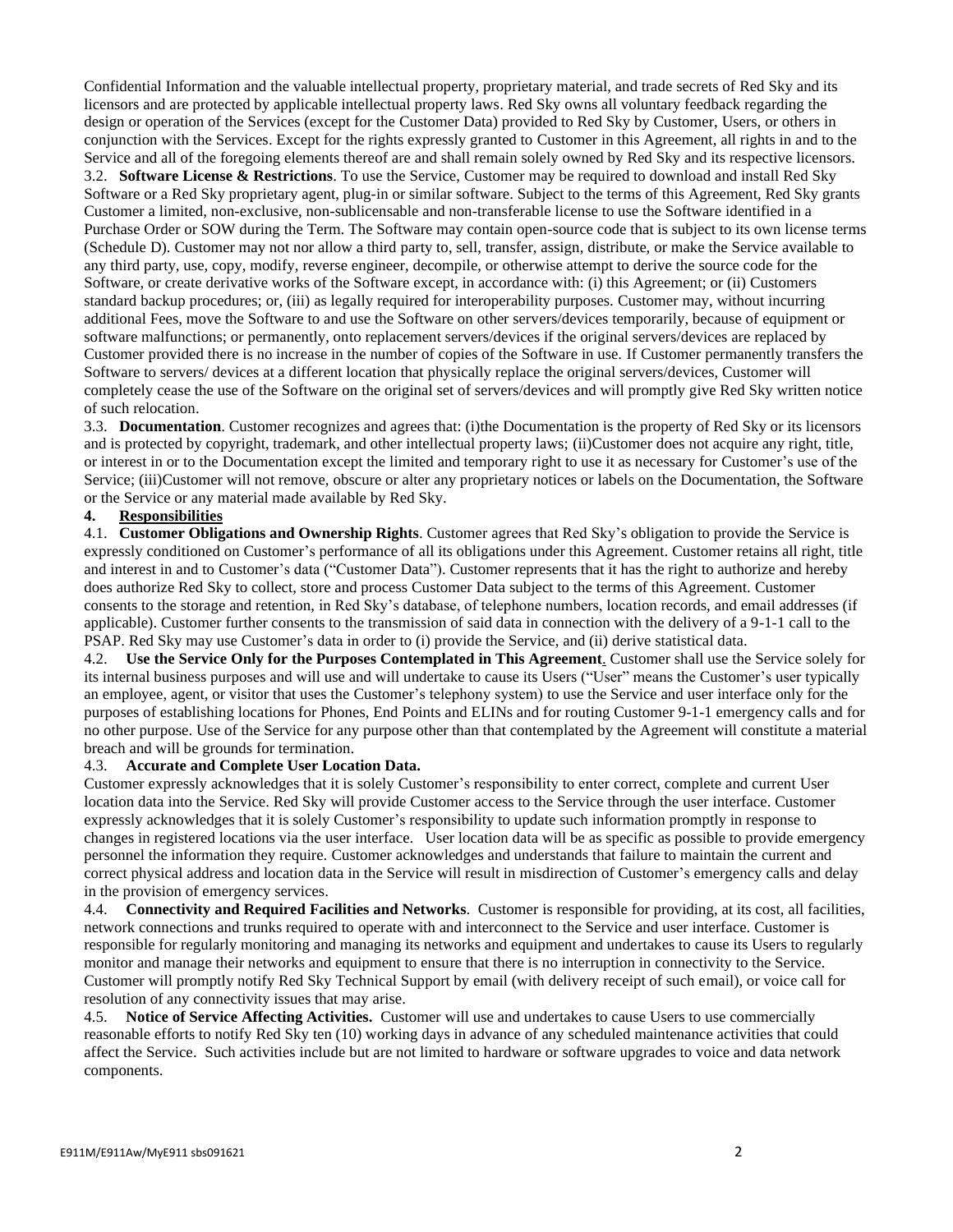Confidential Information and the valuable intellectual property, proprietary material, and trade secrets of Red Sky and its licensors and are protected by applicable intellectual property laws. Red Sky owns all voluntary feedback regarding the design or operation of the Services (except for the Customer Data) provided to Red Sky by Customer, Users, or others in conjunction with the Services. Except for the rights expressly granted to Customer in this Agreement, all rights in and to the Service and all of the foregoing elements thereof are and shall remain solely owned by Red Sky and its respective licensors. 3.2. **Software License & Restrictions**. To use the Service, Customer may be required to download and install Red Sky Software or a Red Sky proprietary agent, plug-in or similar software. Subject to the terms of this Agreement, Red Sky grants Customer a limited, non-exclusive, non-sublicensable and non-transferable license to use the Software identified in a Purchase Order or SOW during the Term. The Software may contain open-source code that is subject to its own license terms (Schedule D). Customer may not nor allow a third party to, sell, transfer, assign, distribute, or make the Service available to any third party, use, copy, modify, reverse engineer, decompile, or otherwise attempt to derive the source code for the Software, or create derivative works of the Software except, in accordance with: (i) this Agreement; or (ii) Customers standard backup procedures; or, (iii) as legally required for interoperability purposes. Customer may, without incurring additional Fees, move the Software to and use the Software on other servers/devices temporarily, because of equipment or software malfunctions; or permanently, onto replacement servers/devices if the original servers/devices are replaced by Customer provided there is no increase in the number of copies of the Software in use. If Customer permanently transfers the Software to servers/ devices at a different location that physically replace the original servers/devices, Customer will completely cease the use of the Software on the original set of servers/devices and will promptly give Red Sky written notice of such relocation.

3.3. **Documentation**. Customer recognizes and agrees that: (i)the Documentation is the property of Red Sky or its licensors and is protected by copyright, trademark, and other intellectual property laws; (ii)Customer does not acquire any right, title, or interest in or to the Documentation except the limited and temporary right to use it as necessary for Customer's use of the Service; (iii)Customer will not remove, obscure or alter any proprietary notices or labels on the Documentation, the Software or the Service or any material made available by Red Sky.

## **4. Responsibilities**

4.1. **Customer Obligations and Ownership Rights**. Customer agrees that Red Sky's obligation to provide the Service is expressly conditioned on Customer's performance of all its obligations under this Agreement. Customer retains all right, title and interest in and to Customer's data ("Customer Data"). Customer represents that it has the right to authorize and hereby does authorize Red Sky to collect, store and process Customer Data subject to the terms of this Agreement. Customer consents to the storage and retention, in Red Sky's database, of telephone numbers, location records, and email addresses (if applicable). Customer further consents to the transmission of said data in connection with the delivery of a 9-1-1 call to the PSAP. Red Sky may use Customer's data in order to (i) provide the Service, and (ii) derive statistical data.

4.2. **Use the Service Only for the Purposes Contemplated in This Agreement**. Customer shall use the Service solely for its internal business purposes and will use and will undertake to cause its Users ("User" means the Customer's user typically an employee, agent, or visitor that uses the Customer's telephony system) to use the Service and user interface only for the purposes of establishing locations for Phones, End Points and ELINs and for routing Customer 9-1-1 emergency calls and for no other purpose. Use of the Service for any purpose other than that contemplated by the Agreement will constitute a material breach and will be grounds for termination.

#### 4.3. **Accurate and Complete User Location Data.**

Customer expressly acknowledges that it is solely Customer's responsibility to enter correct, complete and current User location data into the Service. Red Sky will provide Customer access to the Service through the user interface. Customer expressly acknowledges that it is solely Customer's responsibility to update such information promptly in response to changes in registered locations via the user interface. User location data will be as specific as possible to provide emergency personnel the information they require. Customer acknowledges and understands that failure to maintain the current and correct physical address and location data in the Service will result in misdirection of Customer's emergency calls and delay in the provision of emergency services.

4.4. **Connectivity and Required Facilities and Networks**. Customer is responsible for providing, at its cost, all facilities, network connections and trunks required to operate with and interconnect to the Service and user interface. Customer is responsible for regularly monitoring and managing its networks and equipment and undertakes to cause its Users to regularly monitor and manage their networks and equipment to ensure that there is no interruption in connectivity to the Service. Customer will promptly notify Red Sky Technical Support by email (with delivery receipt of such email), or voice call for resolution of any connectivity issues that may arise.

4.5. **Notice of Service Affecting Activities.** Customer will use and undertakes to cause Users to use commercially reasonable efforts to notify Red Sky ten (10) working days in advance of any scheduled maintenance activities that could affect the Service. Such activities include but are not limited to hardware or software upgrades to voice and data network components.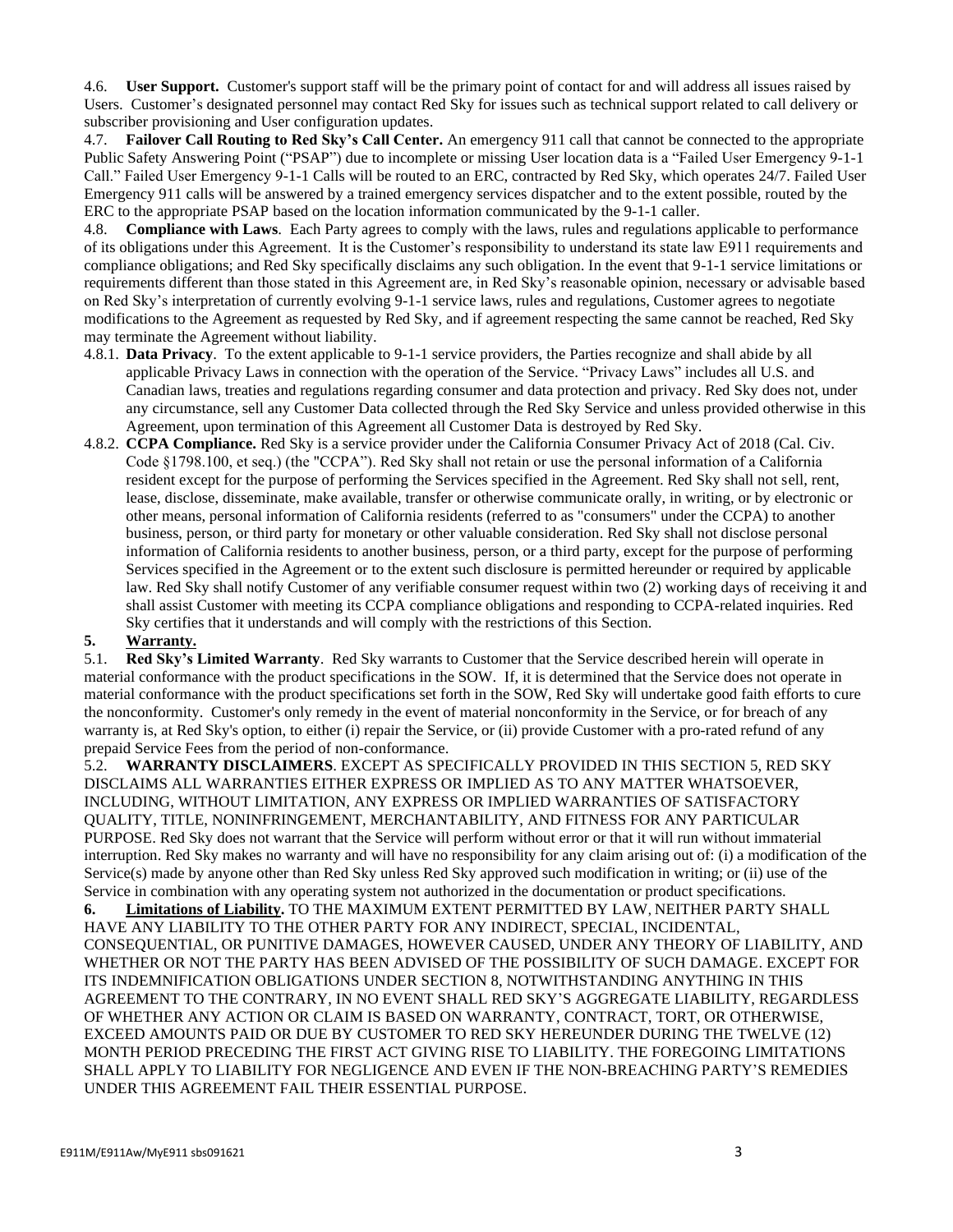4.6. **User Support.** Customer's support staff will be the primary point of contact for and will address all issues raised by Users. Customer's designated personnel may contact Red Sky for issues such as technical support related to call delivery or subscriber provisioning and User configuration updates.

4.7. **Failover Call Routing to Red Sky's Call Center.** An emergency 911 call that cannot be connected to the appropriate Public Safety Answering Point ("PSAP") due to incomplete or missing User location data is a "Failed User Emergency 9-1-1 Call." Failed User Emergency 9-1-1 Calls will be routed to an ERC, contracted by Red Sky, which operates 24/7. Failed User Emergency 911 calls will be answered by a trained emergency services dispatcher and to the extent possible, routed by the ERC to the appropriate PSAP based on the location information communicated by the 9-1-1 caller.

4.8. **Compliance with Laws**. Each Party agrees to comply with the laws, rules and regulations applicable to performance of its obligations under this Agreement. It is the Customer's responsibility to understand its state law E911 requirements and compliance obligations; and Red Sky specifically disclaims any such obligation. In the event that 9-1-1 service limitations or requirements different than those stated in this Agreement are, in Red Sky's reasonable opinion, necessary or advisable based on Red Sky's interpretation of currently evolving 9-1-1 service laws, rules and regulations, Customer agrees to negotiate modifications to the Agreement as requested by Red Sky, and if agreement respecting the same cannot be reached, Red Sky may terminate the Agreement without liability.

- 4.8.1. **Data Privacy**. To the extent applicable to 9-1-1 service providers, the Parties recognize and shall abide by all applicable Privacy Laws in connection with the operation of the Service. "Privacy Laws" includes all U.S. and Canadian laws, treaties and regulations regarding consumer and data protection and privacy. Red Sky does not, under any circumstance, sell any Customer Data collected through the Red Sky Service and unless provided otherwise in this Agreement, upon termination of this Agreement all Customer Data is destroyed by Red Sky.
- 4.8.2. **CCPA Compliance.** Red Sky is a service provider under the California Consumer Privacy Act of 2018 (Cal. Civ. Code §1798.100, et seq.) (the "CCPA"). Red Sky shall not retain or use the personal information of a California resident except for the purpose of performing the Services specified in the Agreement. Red Sky shall not sell, rent, lease, disclose, disseminate, make available, transfer or otherwise communicate orally, in writing, or by electronic or other means, personal information of California residents (referred to as "consumers" under the CCPA) to another business, person, or third party for monetary or other valuable consideration. Red Sky shall not disclose personal information of California residents to another business, person, or a third party, except for the purpose of performing Services specified in the Agreement or to the extent such disclosure is permitted hereunder or required by applicable law. Red Sky shall notify Customer of any verifiable consumer request within two (2) working days of receiving it and shall assist Customer with meeting its CCPA compliance obligations and responding to CCPA-related inquiries. Red Sky certifies that it understands and will comply with the restrictions of this Section.

## **5. Warranty.**

5.1. **Red Sky's Limited Warranty**. Red Sky warrants to Customer that the Service described herein will operate in material conformance with the product specifications in the SOW. If, it is determined that the Service does not operate in material conformance with the product specifications set forth in the SOW, Red Sky will undertake good faith efforts to cure the nonconformity. Customer's only remedy in the event of material nonconformity in the Service, or for breach of any warranty is, at Red Sky's option, to either (i) repair the Service, or (ii) provide Customer with a pro-rated refund of any prepaid Service Fees from the period of non-conformance.

5.2. **WARRANTY DISCLAIMERS**. EXCEPT AS SPECIFICALLY PROVIDED IN THIS SECTION 5, RED SKY DISCLAIMS ALL WARRANTIES EITHER EXPRESS OR IMPLIED AS TO ANY MATTER WHATSOEVER, INCLUDING, WITHOUT LIMITATION, ANY EXPRESS OR IMPLIED WARRANTIES OF SATISFACTORY QUALITY, TITLE, NONINFRINGEMENT, MERCHANTABILITY, AND FITNESS FOR ANY PARTICULAR PURPOSE. Red Sky does not warrant that the Service will perform without error or that it will run without immaterial interruption. Red Sky makes no warranty and will have no responsibility for any claim arising out of: (i) a modification of the Service(s) made by anyone other than Red Sky unless Red Sky approved such modification in writing; or (ii) use of the Service in combination with any operating system not authorized in the documentation or product specifications.

**6. Limitations of Liability.** TO THE MAXIMUM EXTENT PERMITTED BY LAW, NEITHER PARTY SHALL HAVE ANY LIABILITY TO THE OTHER PARTY FOR ANY INDIRECT, SPECIAL, INCIDENTAL, CONSEQUENTIAL, OR PUNITIVE DAMAGES, HOWEVER CAUSED, UNDER ANY THEORY OF LIABILITY, AND WHETHER OR NOT THE PARTY HAS BEEN ADVISED OF THE POSSIBILITY OF SUCH DAMAGE. EXCEPT FOR ITS INDEMNIFICATION OBLIGATIONS UNDER SECTION 8, NOTWITHSTANDING ANYTHING IN THIS AGREEMENT TO THE CONTRARY, IN NO EVENT SHALL RED SKY'S AGGREGATE LIABILITY, REGARDLESS OF WHETHER ANY ACTION OR CLAIM IS BASED ON WARRANTY, CONTRACT, TORT, OR OTHERWISE, EXCEED AMOUNTS PAID OR DUE BY CUSTOMER TO RED SKY HEREUNDER DURING THE TWELVE (12) MONTH PERIOD PRECEDING THE FIRST ACT GIVING RISE TO LIABILITY. THE FOREGOING LIMITATIONS SHALL APPLY TO LIABILITY FOR NEGLIGENCE AND EVEN IF THE NON-BREACHING PARTY'S REMEDIES UNDER THIS AGREEMENT FAIL THEIR ESSENTIAL PURPOSE.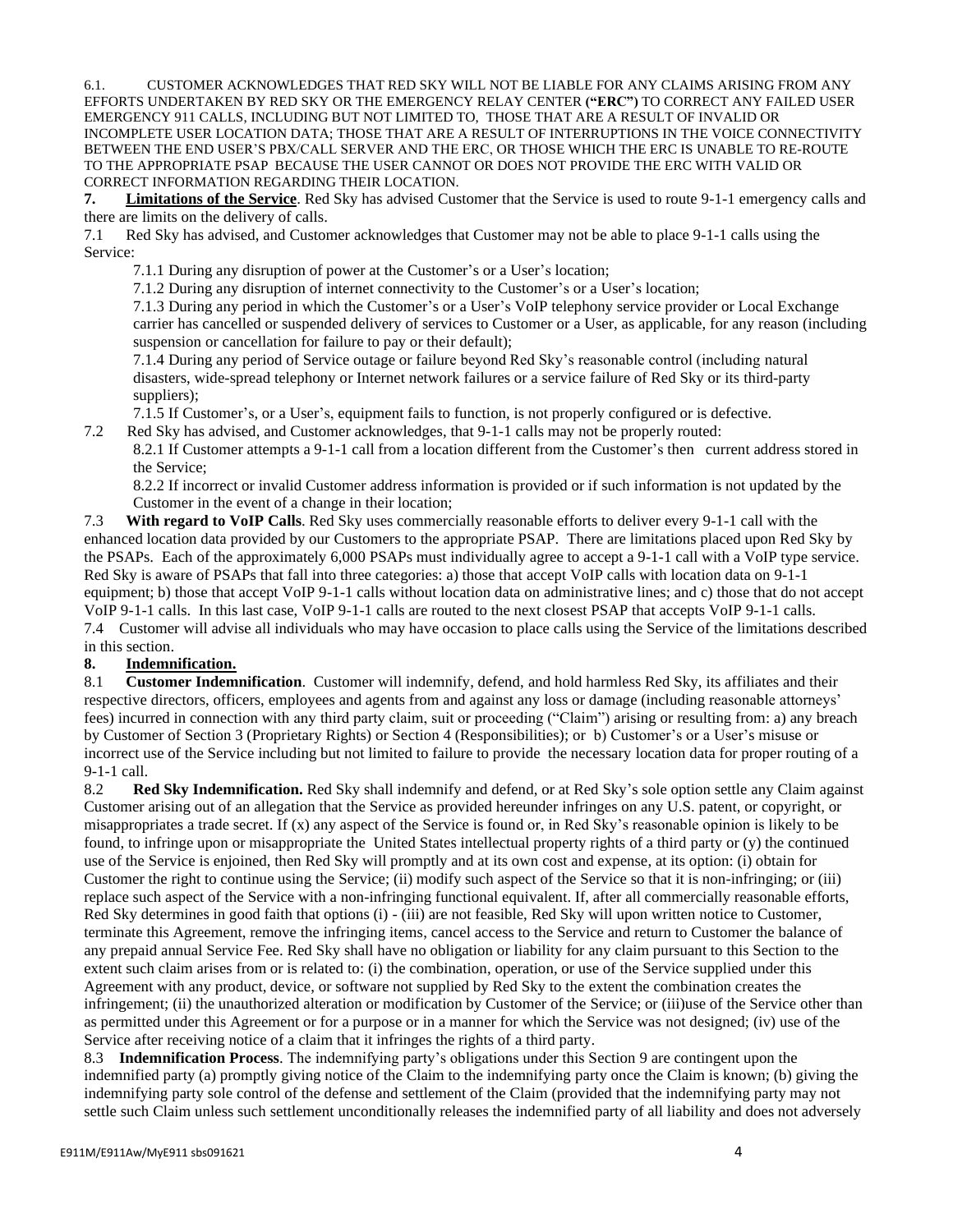6.1. CUSTOMER ACKNOWLEDGES THAT RED SKY WILL NOT BE LIABLE FOR ANY CLAIMS ARISING FROM ANY EFFORTS UNDERTAKEN BY RED SKY OR THE EMERGENCY RELAY CENTER **("ERC")** TO CORRECT ANY FAILED USER EMERGENCY 911 CALLS, INCLUDING BUT NOT LIMITED TO, THOSE THAT ARE A RESULT OF INVALID OR INCOMPLETE USER LOCATION DATA; THOSE THAT ARE A RESULT OF INTERRUPTIONS IN THE VOICE CONNECTIVITY BETWEEN THE END USER'S PBX/CALL SERVER AND THE ERC, OR THOSE WHICH THE ERC IS UNABLE TO RE-ROUTE TO THE APPROPRIATE PSAP BECAUSE THE USER CANNOT OR DOES NOT PROVIDE THE ERC WITH VALID OR CORRECT INFORMATION REGARDING THEIR LOCATION.

**7. Limitations of the Service**. Red Sky has advised Customer that the Service is used to route 9-1-1 emergency calls and there are limits on the delivery of calls.

7.1 Red Sky has advised, and Customer acknowledges that Customer may not be able to place 9-1-1 calls using the Service:

7.1.1 During any disruption of power at the Customer's or a User's location;

7.1.2 During any disruption of internet connectivity to the Customer's or a User's location;

7.1.3 During any period in which the Customer's or a User's VoIP telephony service provider or Local Exchange carrier has cancelled or suspended delivery of services to Customer or a User, as applicable, for any reason (including suspension or cancellation for failure to pay or their default);

7.1.4 During any period of Service outage or failure beyond Red Sky's reasonable control (including natural disasters, wide-spread telephony or Internet network failures or a service failure of Red Sky or its third-party suppliers);

7.1.5 If Customer's, or a User's, equipment fails to function, is not properly configured or is defective.

7.2 Red Sky has advised, and Customer acknowledges, that 9-1-1 calls may not be properly routed:

8.2.1 If Customer attempts a 9-1-1 call from a location different from the Customer's then current address stored in the Service;

8.2.2 If incorrect or invalid Customer address information is provided or if such information is not updated by the Customer in the event of a change in their location;

7.3 **With regard to VoIP Calls**. Red Sky uses commercially reasonable efforts to deliver every 9-1-1 call with the enhanced location data provided by our Customers to the appropriate PSAP. There are limitations placed upon Red Sky by the PSAPs. Each of the approximately 6,000 PSAPs must individually agree to accept a 9-1-1 call with a VoIP type service. Red Sky is aware of PSAPs that fall into three categories: a) those that accept VoIP calls with location data on 9-1-1 equipment; b) those that accept VoIP 9-1-1 calls without location data on administrative lines; and c) those that do not accept VoIP 9-1-1 calls. In this last case, VoIP 9-1-1 calls are routed to the next closest PSAP that accepts VoIP 9-1-1 calls. 7.4 Customer will advise all individuals who may have occasion to place calls using the Service of the limitations described in this section.

## **8. Indemnification.**

8.1 **Customer Indemnification**. Customer will indemnify, defend, and hold harmless Red Sky, its affiliates and their respective directors, officers, employees and agents from and against any loss or damage (including reasonable attorneys' fees) incurred in connection with any third party claim, suit or proceeding ("Claim") arising or resulting from: a) any breach by Customer of Section 3 (Proprietary Rights) or Section 4 (Responsibilities); or b) Customer's or a User's misuse or incorrect use of the Service including but not limited to failure to provide the necessary location data for proper routing of a 9-1-1 call.

8.2 **Red Sky Indemnification.** Red Sky shall indemnify and defend, or at Red Sky's sole option settle any Claim against Customer arising out of an allegation that the Service as provided hereunder infringes on any U.S. patent, or copyright, or misappropriates a trade secret. If (x) any aspect of the Service is found or, in Red Sky's reasonable opinion is likely to be found, to infringe upon or misappropriate the United States intellectual property rights of a third party or (y) the continued use of the Service is enjoined, then Red Sky will promptly and at its own cost and expense, at its option: (i) obtain for Customer the right to continue using the Service; (ii) modify such aspect of the Service so that it is non-infringing; or (iii) replace such aspect of the Service with a non-infringing functional equivalent. If, after all commercially reasonable efforts, Red Sky determines in good faith that options (i) - (iii) are not feasible, Red Sky will upon written notice to Customer, terminate this Agreement, remove the infringing items, cancel access to the Service and return to Customer the balance of any prepaid annual Service Fee. Red Sky shall have no obligation or liability for any claim pursuant to this Section to the extent such claim arises from or is related to: (i) the combination, operation, or use of the Service supplied under this Agreement with any product, device, or software not supplied by Red Sky to the extent the combination creates the infringement; (ii) the unauthorized alteration or modification by Customer of the Service; or (iii)use of the Service other than as permitted under this Agreement or for a purpose or in a manner for which the Service was not designed; (iv) use of the Service after receiving notice of a claim that it infringes the rights of a third party.

8.3 **Indemnification Process**. The indemnifying party's obligations under this Section 9 are contingent upon the indemnified party (a) promptly giving notice of the Claim to the indemnifying party once the Claim is known; (b) giving the indemnifying party sole control of the defense and settlement of the Claim (provided that the indemnifying party may not settle such Claim unless such settlement unconditionally releases the indemnified party of all liability and does not adversely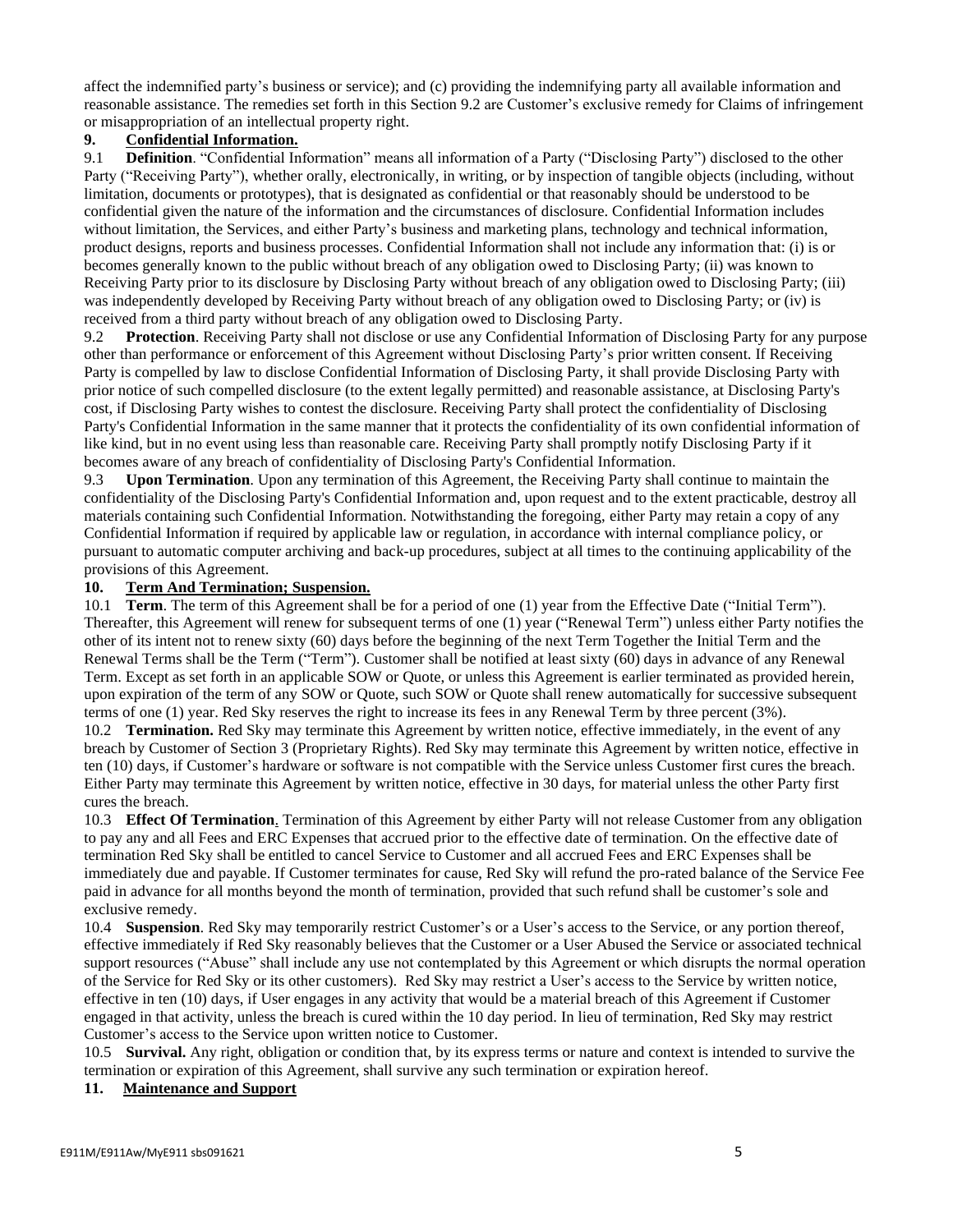affect the indemnified party's business or service); and (c) providing the indemnifying party all available information and reasonable assistance. The remedies set forth in this Section 9.2 are Customer's exclusive remedy for Claims of infringement or misappropriation of an intellectual property right.

### **9. Confidential Information.**

9.1 **Definition**. "Confidential Information" means all information of a Party ("Disclosing Party") disclosed to the other Party ("Receiving Party"), whether orally, electronically, in writing, or by inspection of tangible objects (including, without limitation, documents or prototypes), that is designated as confidential or that reasonably should be understood to be confidential given the nature of the information and the circumstances of disclosure. Confidential Information includes without limitation, the Services, and either Party's business and marketing plans, technology and technical information, product designs, reports and business processes. Confidential Information shall not include any information that: (i) is or becomes generally known to the public without breach of any obligation owed to Disclosing Party; (ii) was known to Receiving Party prior to its disclosure by Disclosing Party without breach of any obligation owed to Disclosing Party; (iii) was independently developed by Receiving Party without breach of any obligation owed to Disclosing Party; or (iv) is received from a third party without breach of any obligation owed to Disclosing Party.

9.2 **Protection**. Receiving Party shall not disclose or use any Confidential Information of Disclosing Party for any purpose other than performance or enforcement of this Agreement without Disclosing Party's prior written consent. If Receiving Party is compelled by law to disclose Confidential Information of Disclosing Party, it shall provide Disclosing Party with prior notice of such compelled disclosure (to the extent legally permitted) and reasonable assistance, at Disclosing Party's cost, if Disclosing Party wishes to contest the disclosure. Receiving Party shall protect the confidentiality of Disclosing Party's Confidential Information in the same manner that it protects the confidentiality of its own confidential information of like kind, but in no event using less than reasonable care. Receiving Party shall promptly notify Disclosing Party if it becomes aware of any breach of confidentiality of Disclosing Party's Confidential Information.

9.3 **Upon Termination**. Upon any termination of this Agreement, the Receiving Party shall continue to maintain the confidentiality of the Disclosing Party's Confidential Information and, upon request and to the extent practicable, destroy all materials containing such Confidential Information. Notwithstanding the foregoing, either Party may retain a copy of any Confidential Information if required by applicable law or regulation, in accordance with internal compliance policy, or pursuant to automatic computer archiving and back-up procedures, subject at all times to the continuing applicability of the provisions of this Agreement.

### **10. Term And Termination; Suspension.**

10.1 **Term**. The term of this Agreement shall be for a period of one (1) year from the Effective Date ("Initial Term"). Thereafter, this Agreement will renew for subsequent terms of one (1) year ("Renewal Term") unless either Party notifies the other of its intent not to renew sixty (60) days before the beginning of the next Term Together the Initial Term and the Renewal Terms shall be the Term ("Term"). Customer shall be notified at least sixty (60) days in advance of any Renewal Term. Except as set forth in an applicable SOW or Quote, or unless this Agreement is earlier terminated as provided herein, upon expiration of the term of any SOW or Quote, such SOW or Quote shall renew automatically for successive subsequent terms of one (1) year. Red Sky reserves the right to increase its fees in any Renewal Term by three percent (3%). 10.2 **Termination.** Red Sky may terminate this Agreement by written notice, effective immediately, in the event of any breach by Customer of Section 3 (Proprietary Rights). Red Sky may terminate this Agreement by written notice, effective in ten (10) days, if Customer's hardware or software is not compatible with the Service unless Customer first cures the breach. Either Party may terminate this Agreement by written notice, effective in 30 days, for material unless the other Party first cures the breach.

10.3 **Effect Of Termination**. Termination of this Agreement by either Party will not release Customer from any obligation to pay any and all Fees and ERC Expenses that accrued prior to the effective date of termination. On the effective date of termination Red Sky shall be entitled to cancel Service to Customer and all accrued Fees and ERC Expenses shall be immediately due and payable. If Customer terminates for cause, Red Sky will refund the pro-rated balance of the Service Fee paid in advance for all months beyond the month of termination, provided that such refund shall be customer's sole and exclusive remedy.

10.4 **Suspension**. Red Sky may temporarily restrict Customer's or a User's access to the Service, or any portion thereof, effective immediately if Red Sky reasonably believes that the Customer or a User Abused the Service or associated technical support resources ("Abuse" shall include any use not contemplated by this Agreement or which disrupts the normal operation of the Service for Red Sky or its other customers). Red Sky may restrict a User's access to the Service by written notice, effective in ten (10) days, if User engages in any activity that would be a material breach of this Agreement if Customer engaged in that activity, unless the breach is cured within the 10 day period. In lieu of termination, Red Sky may restrict Customer's access to the Service upon written notice to Customer.

10.5 **Survival.** Any right, obligation or condition that, by its express terms or nature and context is intended to survive the termination or expiration of this Agreement, shall survive any such termination or expiration hereof.

## **11. Maintenance and Support**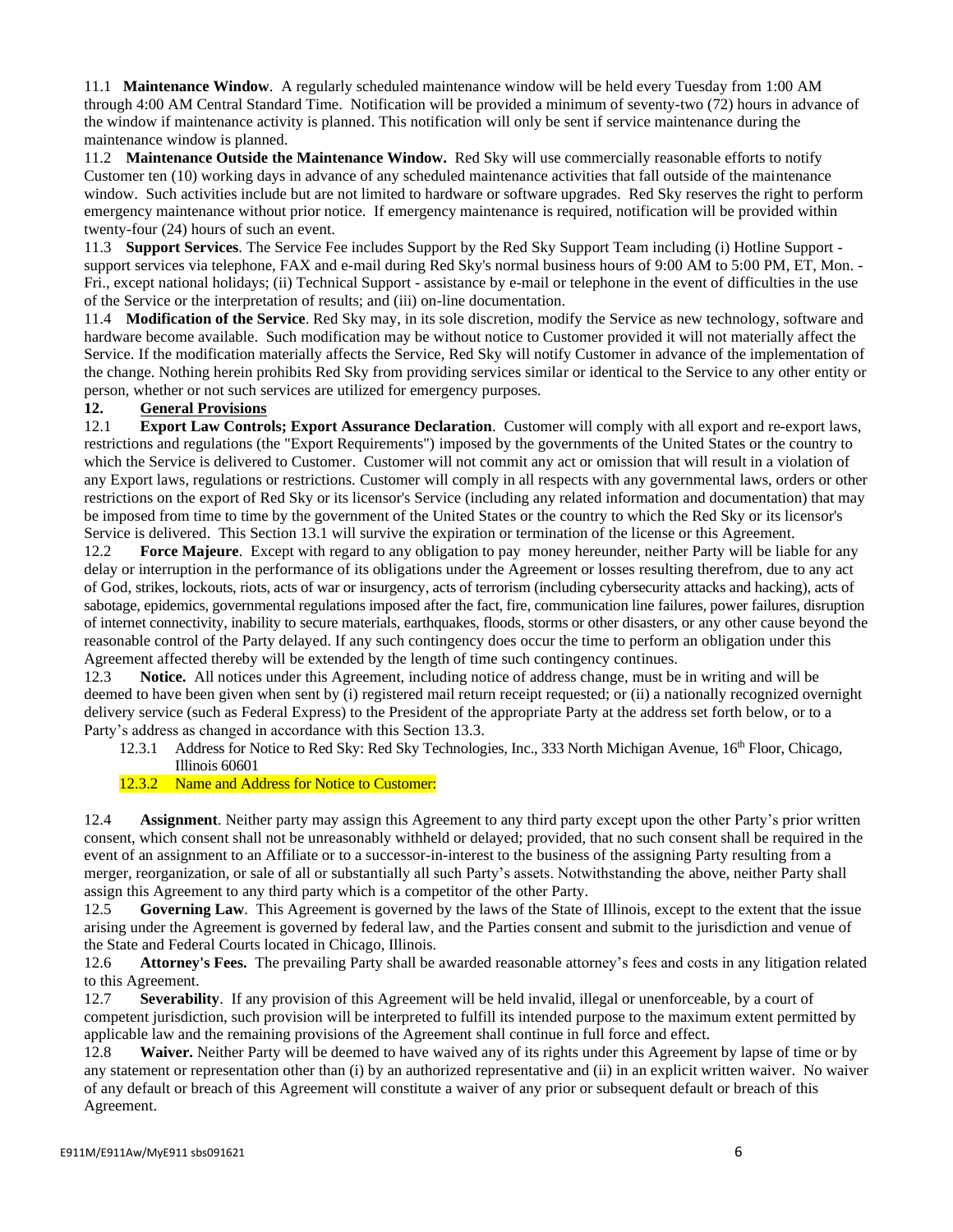11.1 **Maintenance Window**. A regularly scheduled maintenance window will be held every Tuesday from 1:00 AM through 4:00 AM Central Standard Time. Notification will be provided a minimum of seventy-two (72) hours in advance of the window if maintenance activity is planned. This notification will only be sent if service maintenance during the maintenance window is planned.

11.2 **Maintenance Outside the Maintenance Window.** Red Sky will use commercially reasonable efforts to notify Customer ten (10) working days in advance of any scheduled maintenance activities that fall outside of the maintenance window. Such activities include but are not limited to hardware or software upgrades. Red Sky reserves the right to perform emergency maintenance without prior notice. If emergency maintenance is required, notification will be provided within twenty-four (24) hours of such an event.

11.3 **Support Services**. The Service Fee includes Support by the Red Sky Support Team including (i) Hotline Support support services via telephone, FAX and e-mail during Red Sky's normal business hours of 9:00 AM to 5:00 PM, ET, Mon. - Fri., except national holidays; (ii) Technical Support - assistance by e-mail or telephone in the event of difficulties in the use of the Service or the interpretation of results; and (iii) on-line documentation.

11.4 **Modification of the Service**. Red Sky may, in its sole discretion, modify the Service as new technology, software and hardware become available. Such modification may be without notice to Customer provided it will not materially affect the Service. If the modification materially affects the Service, Red Sky will notify Customer in advance of the implementation of the change. Nothing herein prohibits Red Sky from providing services similar or identical to the Service to any other entity or person, whether or not such services are utilized for emergency purposes.

## **12. General Provisions**

12.1 **Export Law Controls; Export Assurance Declaration**. Customer will comply with all export and re-export laws, restrictions and regulations (the "Export Requirements") imposed by the governments of the United States or the country to which the Service is delivered to Customer. Customer will not commit any act or omission that will result in a violation of any Export laws, regulations or restrictions. Customer will comply in all respects with any governmental laws, orders or other restrictions on the export of Red Sky or its licensor's Service (including any related information and documentation) that may be imposed from time to time by the government of the United States or the country to which the Red Sky or its licensor's Service is delivered. This Section 13.1 will survive the expiration or termination of the license or this Agreement.

12.2 **Force Majeure**. Except with regard to any obligation to pay money hereunder, neither Party will be liable for any delay or interruption in the performance of its obligations under the Agreement or losses resulting therefrom, due to any act of God, strikes, lockouts, riots, acts of war or insurgency, acts of terrorism (including cybersecurity attacks and hacking), acts of sabotage, epidemics, governmental regulations imposed after the fact, fire, communication line failures, power failures, disruption of internet connectivity, inability to secure materials, earthquakes, floods, storms or other disasters, or any other cause beyond the reasonable control of the Party delayed. If any such contingency does occur the time to perform an obligation under this Agreement affected thereby will be extended by the length of time such contingency continues.

12.3 **Notice.** All notices under this Agreement, including notice of address change, must be in writing and will be deemed to have been given when sent by (i) registered mail return receipt requested; or (ii) a nationally recognized overnight delivery service (such as Federal Express) to the President of the appropriate Party at the address set forth below, or to a Party's address as changed in accordance with this Section 13.3.

- 12.3.1 Address for Notice to Red Sky: Red Sky Technologies, Inc., 333 North Michigan Avenue, 16<sup>th</sup> Floor, Chicago, Illinois 60601
- 12.3.2 Name and Address for Notice to Customer:

12.4 **Assignment**. Neither party may assign this Agreement to any third party except upon the other Party's prior written consent, which consent shall not be unreasonably withheld or delayed; provided, that no such consent shall be required in the event of an assignment to an Affiliate or to a successor-in-interest to the business of the assigning Party resulting from a merger, reorganization, or sale of all or substantially all such Party's assets. Notwithstanding the above, neither Party shall assign this Agreement to any third party which is a competitor of the other Party.

12.5 **Governing Law**. This Agreement is governed by the laws of the State of Illinois, except to the extent that the issue arising under the Agreement is governed by federal law, and the Parties consent and submit to the jurisdiction and venue of the State and Federal Courts located in Chicago, Illinois.

12.6 **Attorney's Fees.** The prevailing Party shall be awarded reasonable attorney's fees and costs in any litigation related to this Agreement.

12.7 **Severability**. If any provision of this Agreement will be held invalid, illegal or unenforceable, by a court of competent jurisdiction, such provision will be interpreted to fulfill its intended purpose to the maximum extent permitted by applicable law and the remaining provisions of the Agreement shall continue in full force and effect.

12.8 **Waiver.** Neither Party will be deemed to have waived any of its rights under this Agreement by lapse of time or by any statement or representation other than (i) by an authorized representative and (ii) in an explicit written waiver. No waiver of any default or breach of this Agreement will constitute a waiver of any prior or subsequent default or breach of this Agreement.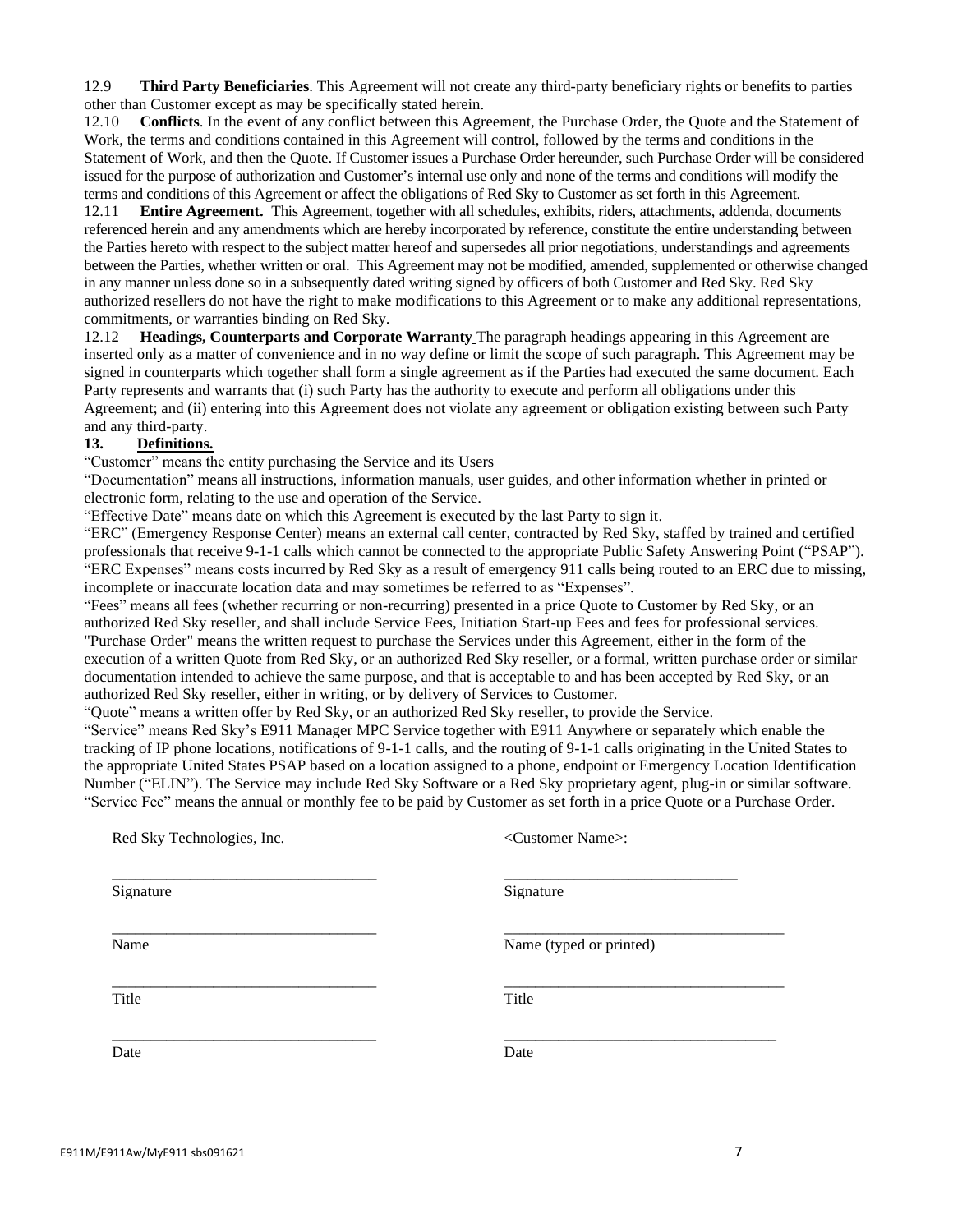12.9 **Third Party Beneficiaries**. This Agreement will not create any third-party beneficiary rights or benefits to parties other than Customer except as may be specifically stated herein.

12.10 **Conflicts**. In the event of any conflict between this Agreement, the Purchase Order, the Quote and the Statement of Work, the terms and conditions contained in this Agreement will control, followed by the terms and conditions in the Statement of Work, and then the Quote. If Customer issues a Purchase Order hereunder, such Purchase Order will be considered issued for the purpose of authorization and Customer's internal use only and none of the terms and conditions will modify the terms and conditions of this Agreement or affect the obligations of Red Sky to Customer as set forth in this Agreement.

12.11 **Entire Agreement.** This Agreement, together with all schedules, exhibits, riders, attachments, addenda, documents referenced herein and any amendments which are hereby incorporated by reference, constitute the entire understanding between the Parties hereto with respect to the subject matter hereof and supersedes all prior negotiations, understandings and agreements between the Parties, whether written or oral. This Agreement may not be modified, amended, supplemented or otherwise changed in any manner unless done so in a subsequently dated writing signed by officers of both Customer and Red Sky. Red Sky authorized resellers do not have the right to make modifications to this Agreement or to make any additional representations, commitments, or warranties binding on Red Sky.

12.12 **Headings, Counterparts and Corporate Warranty** The paragraph headings appearing in this Agreement are inserted only as a matter of convenience and in no way define or limit the scope of such paragraph. This Agreement may be signed in counterparts which together shall form a single agreement as if the Parties had executed the same document. Each Party represents and warrants that (i) such Party has the authority to execute and perform all obligations under this Agreement; and (ii) entering into this Agreement does not violate any agreement or obligation existing between such Party and any third-party.

# **13. Definitions.**

"Customer" means the entity purchasing the Service and its Users

"Documentation" means all instructions, information manuals, user guides, and other information whether in printed or electronic form, relating to the use and operation of the Service.

"Effective Date" means date on which this Agreement is executed by the last Party to sign it.

"ERC" (Emergency Response Center) means an external call center, contracted by Red Sky, staffed by trained and certified professionals that receive 9-1-1 calls which cannot be connected to the appropriate Public Safety Answering Point ("PSAP"). "ERC Expenses" means costs incurred by Red Sky as a result of emergency 911 calls being routed to an ERC due to missing, incomplete or inaccurate location data and may sometimes be referred to as "Expenses".

"Fees" means all fees (whether recurring or non-recurring) presented in a price Quote to Customer by Red Sky, or an authorized Red Sky reseller, and shall include Service Fees, Initiation Start-up Fees and fees for professional services. "Purchase Order" means the written request to purchase the Services under this Agreement, either in the form of the execution of a written Quote from Red Sky, or an authorized Red Sky reseller, or a formal, written purchase order or similar documentation intended to achieve the same purpose, and that is acceptable to and has been accepted by Red Sky, or an authorized Red Sky reseller, either in writing, or by delivery of Services to Customer.

"Quote" means a written offer by Red Sky, or an authorized Red Sky reseller, to provide the Service.

"Service" means Red Sky's E911 Manager MPC Service together with E911 Anywhere or separately which enable the tracking of IP phone locations, notifications of 9-1-1 calls, and the routing of 9-1-1 calls originating in the United States to the appropriate United States PSAP based on a location assigned to a phone, endpoint or Emergency Location Identification Number ("ELIN"). The Service may include Red Sky Software or a Red Sky proprietary agent, plug-in or similar software. "Service Fee" means the annual or monthly fee to be paid by Customer as set forth in a price Quote or a Purchase Order.

| Red Sky Technologies, Inc. | <customer name="">:</customer> |
|----------------------------|--------------------------------|
| Signature                  | Signature                      |
| Name                       | Name (typed or printed)        |
| Title                      | Title                          |
| Date                       | Date                           |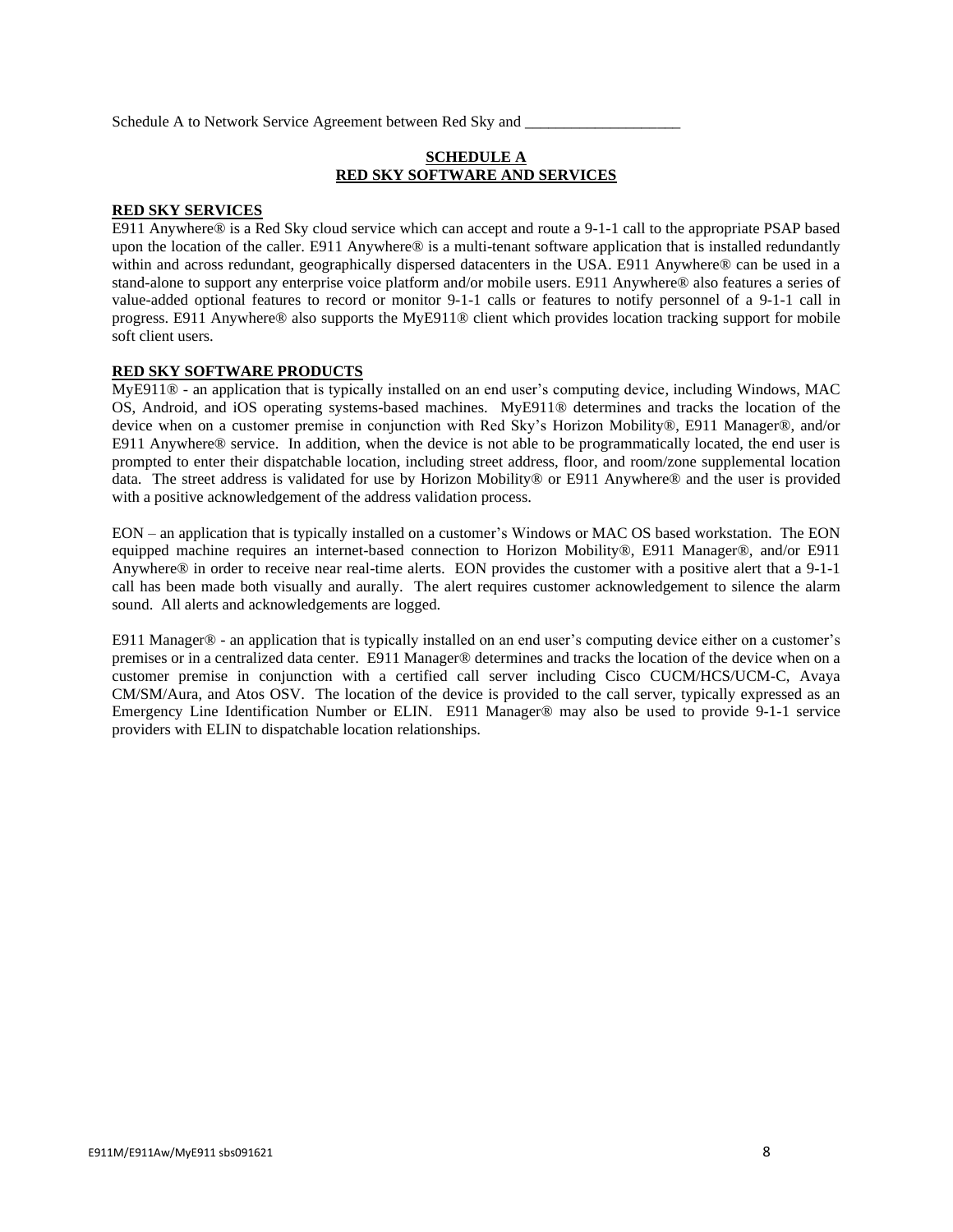Schedule A to Network Service Agreement between Red Sky and

## **SCHEDULE A RED SKY SOFTWARE AND SERVICES**

#### **RED SKY SERVICES**

E911 Anywhere® is a Red Sky cloud service which can accept and route a 9-1-1 call to the appropriate PSAP based upon the location of the caller. E911 Anywhere® is a multi-tenant software application that is installed redundantly within and across redundant, geographically dispersed datacenters in the USA. E911 Anywhere® can be used in a stand-alone to support any enterprise voice platform and/or mobile users. E911 Anywhere® also features a series of value-added optional features to record or monitor 9-1-1 calls or features to notify personnel of a 9-1-1 call in progress. E911 Anywhere® also supports the MyE911® client which provides location tracking support for mobile soft client users.

#### **RED SKY SOFTWARE PRODUCTS**

MyE911® - an application that is typically installed on an end user's computing device, including Windows, MAC OS, Android, and iOS operating systems-based machines. MyE911® determines and tracks the location of the device when on a customer premise in conjunction with Red Sky's Horizon Mobility®, E911 Manager®, and/or E911 Anywhere® service. In addition, when the device is not able to be programmatically located, the end user is prompted to enter their dispatchable location, including street address, floor, and room/zone supplemental location data. The street address is validated for use by Horizon Mobility® or E911 Anywhere® and the user is provided with a positive acknowledgement of the address validation process.

EON – an application that is typically installed on a customer's Windows or MAC OS based workstation. The EON equipped machine requires an internet-based connection to Horizon Mobility®, E911 Manager®, and/or E911 Anywhere® in order to receive near real-time alerts. EON provides the customer with a positive alert that a 9-1-1 call has been made both visually and aurally. The alert requires customer acknowledgement to silence the alarm sound. All alerts and acknowledgements are logged.

E911 Manager® - an application that is typically installed on an end user's computing device either on a customer's premises or in a centralized data center. E911 Manager® determines and tracks the location of the device when on a customer premise in conjunction with a certified call server including Cisco CUCM/HCS/UCM-C, Avaya CM/SM/Aura, and Atos OSV. The location of the device is provided to the call server, typically expressed as an Emergency Line Identification Number or ELIN. E911 Manager® may also be used to provide 9-1-1 service providers with ELIN to dispatchable location relationships.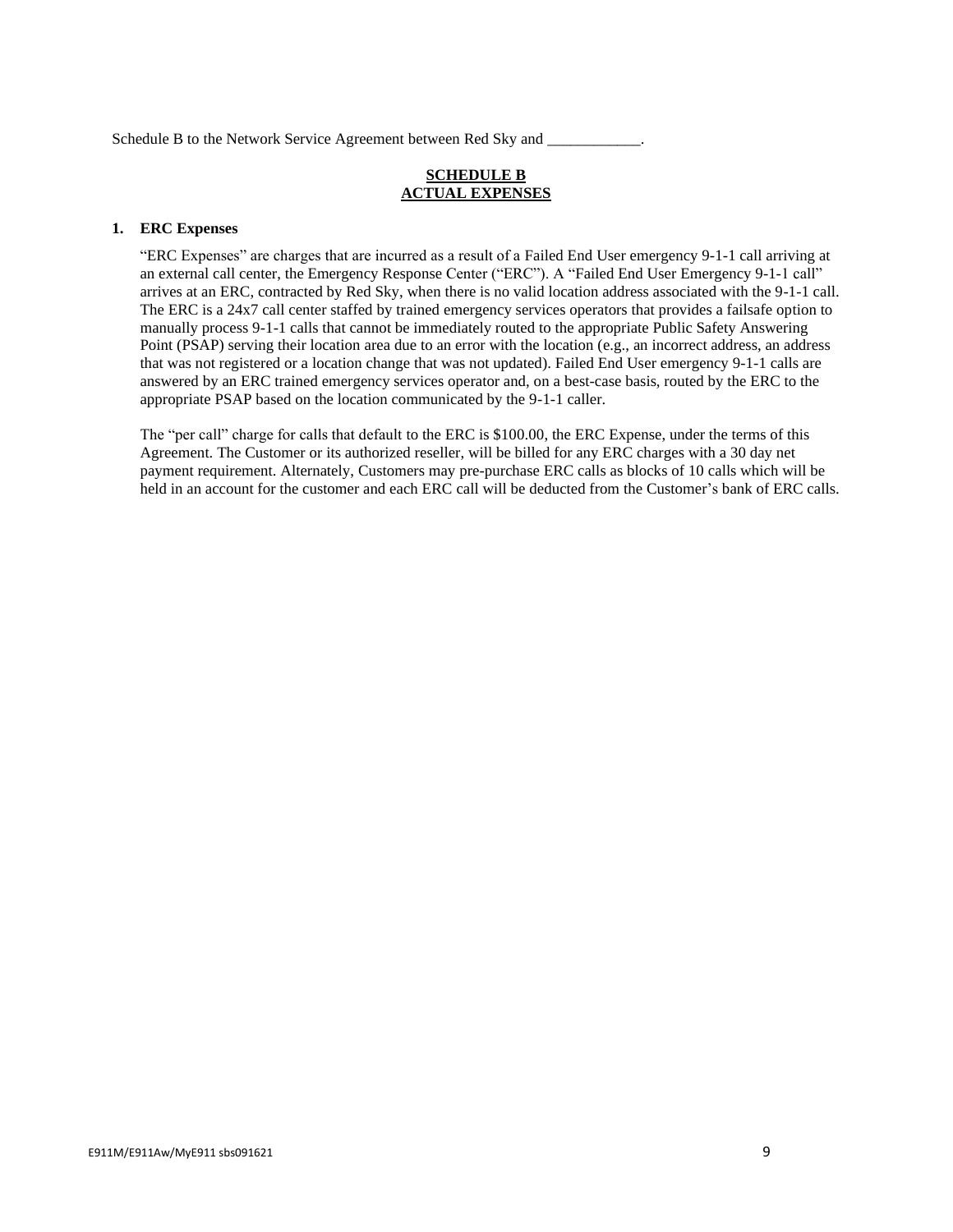Schedule B to the Network Service Agreement between Red Sky and

# **SCHEDULE B ACTUAL EXPENSES**

### **1. ERC Expenses**

"ERC Expenses" are charges that are incurred as a result of a Failed End User emergency 9-1-1 call arriving at an external call center, the Emergency Response Center ("ERC"). A "Failed End User Emergency 9-1-1 call" arrives at an ERC, contracted by Red Sky, when there is no valid location address associated with the 9-1-1 call. The ERC is a 24x7 call center staffed by trained emergency services operators that provides a failsafe option to manually process 9-1-1 calls that cannot be immediately routed to the appropriate Public Safety Answering Point (PSAP) serving their location area due to an error with the location (e.g., an incorrect address, an address that was not registered or a location change that was not updated). Failed End User emergency 9-1-1 calls are answered by an ERC trained emergency services operator and, on a best-case basis, routed by the ERC to the appropriate PSAP based on the location communicated by the 9-1-1 caller.

The "per call" charge for calls that default to the ERC is \$100.00, the ERC Expense, under the terms of this Agreement. The Customer or its authorized reseller, will be billed for any ERC charges with a 30 day net payment requirement. Alternately, Customers may pre-purchase ERC calls as blocks of 10 calls which will be held in an account for the customer and each ERC call will be deducted from the Customer's bank of ERC calls.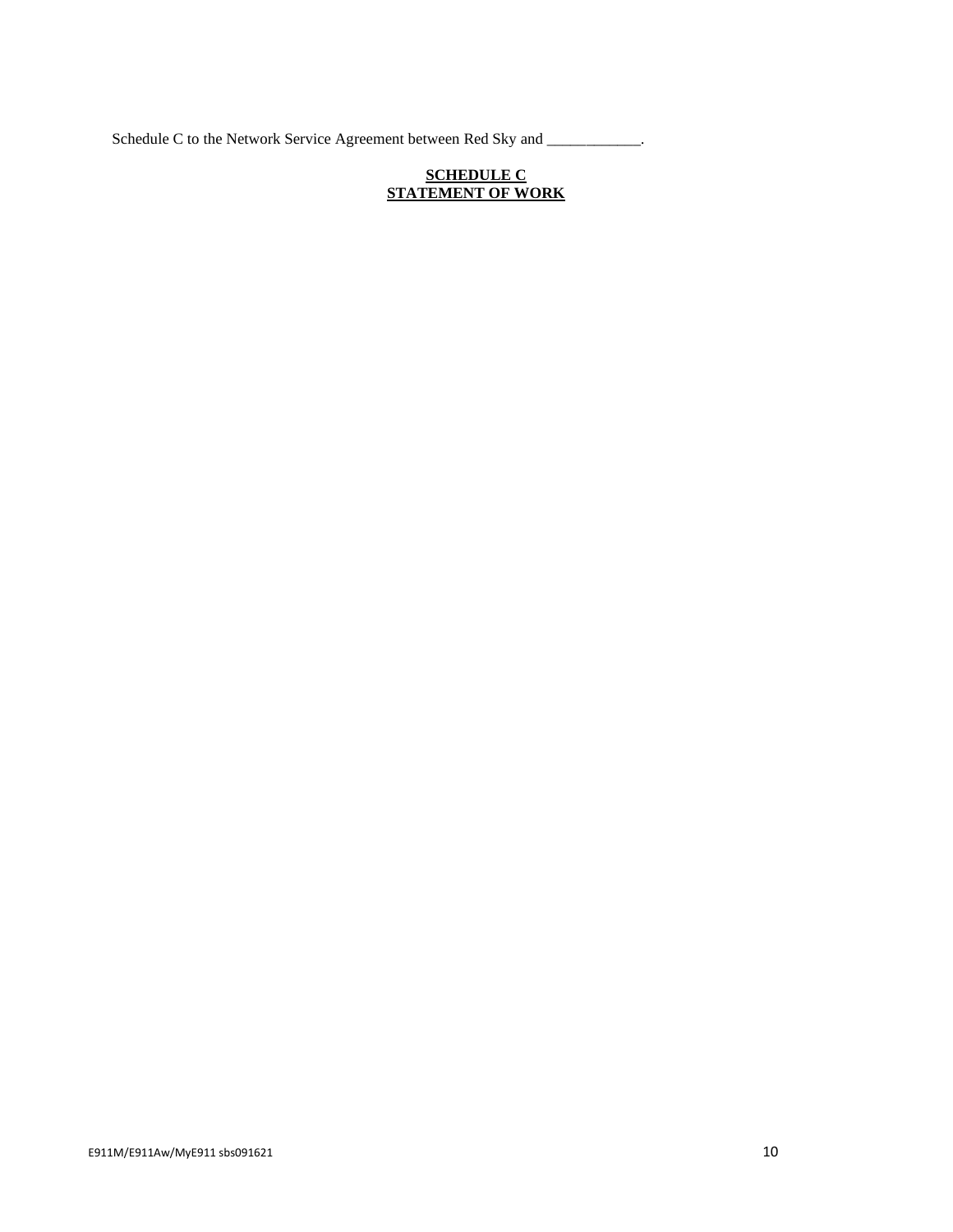Schedule C to the Network Service Agreement between Red Sky and \_\_\_\_\_\_\_\_\_\_\_\_.

## **SCHEDULE C STATEMENT OF WORK**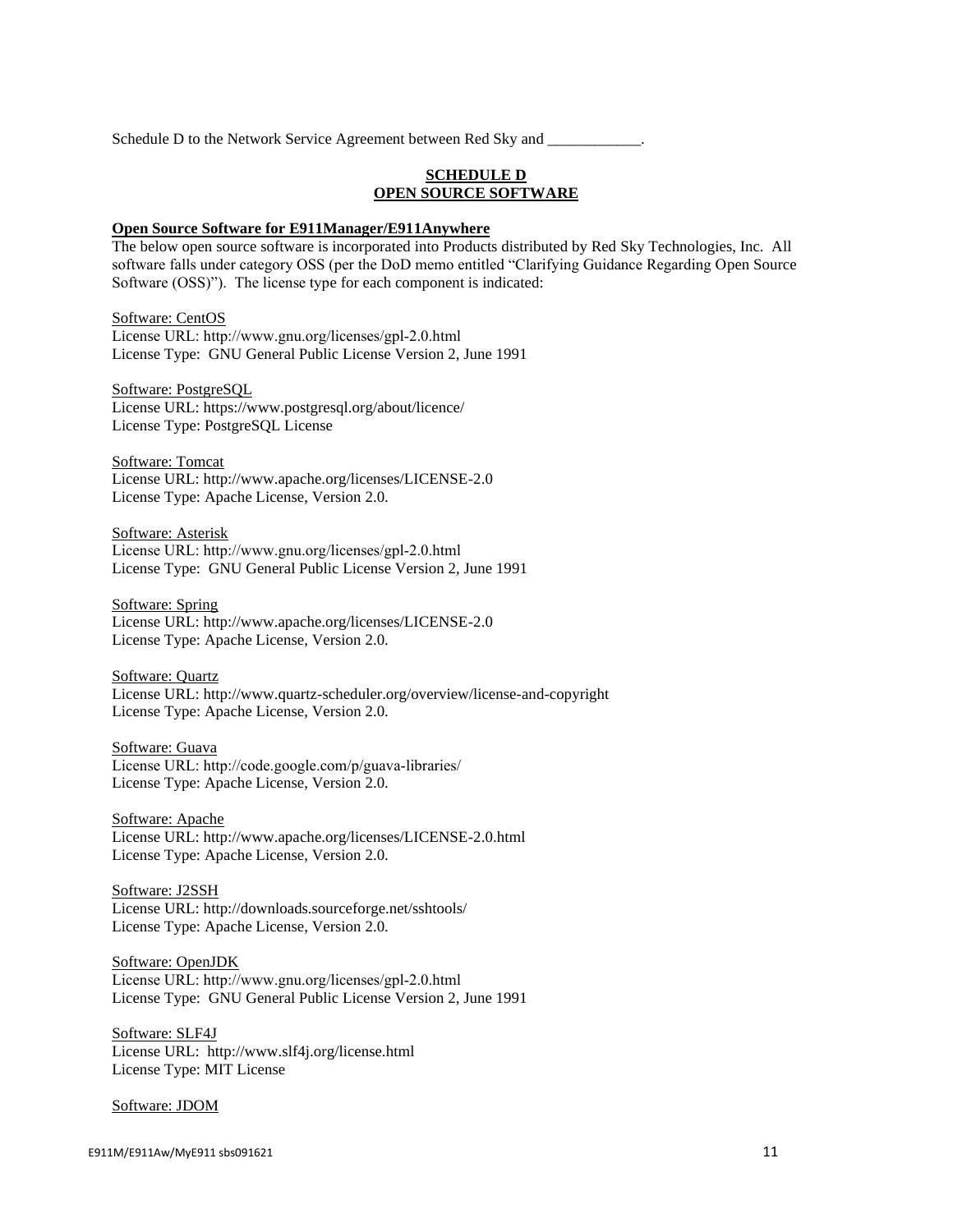Schedule D to the Network Service Agreement between Red Sky and

### **SCHEDULE D OPEN SOURCE SOFTWARE**

#### **Open Source Software for E911Manager/E911Anywhere**

The below open source software is incorporated into Products distributed by Red Sky Technologies, Inc. All software falls under category OSS (per the DoD memo entitled "Clarifying Guidance Regarding Open Source Software (OSS)"). The license type for each component is indicated:

### Software: CentOS

License URL: http://www.gnu.org/licenses/gpl‐2.0.html License Type: GNU General Public License Version 2, June 1991

Software: PostgreSQL License URL: https://www.postgresql.org/about/licence/ License Type: PostgreSQL License

Software: Tomcat License URL: http://www.apache.org/licenses/LICENSE-2.0 License Type: Apache License, Version 2.0.

Software: Asterisk License URL: http://www.gnu.org/licenses/gpl‐2.0.html License Type: GNU General Public License Version 2, June 1991

Software: Spring License URL: http://www.apache.org/licenses/LICENSE-2.0 License Type: Apache License, Version 2.0.

Software: Quartz License URL: http://www.quartz-scheduler.org/overview/license-and-copyright License Type: Apache License, Version 2.0.

#### Software: Guava

License URL: http://code.google.com/p/guava‐libraries/ License Type: Apache License, Version 2.0.

Software: Apache License URL: http://www.apache.org/licenses/LICENSE-2.0.html License Type: Apache License, Version 2.0.

#### Software: J2SSH

License URL: http://downloads.sourceforge.net/sshtools/ License Type: Apache License, Version 2.0.

Software: OpenJDK License URL: http://www.gnu.org/licenses/gpl‐2.0.html License Type: GNU General Public License Version 2, June 1991

Software: SLF4J License URL: http://www.slf4j.org/license.html License Type: MIT License

#### Software: JDOM